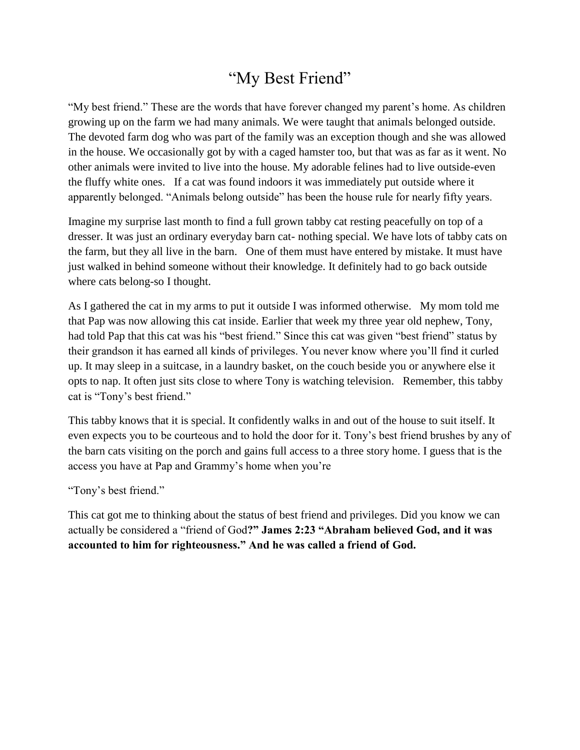## "My Best Friend"

"My best friend." These are the words that have forever changed my parent's home. As children growing up on the farm we had many animals. We were taught that animals belonged outside. The devoted farm dog who was part of the family was an exception though and she was allowed in the house. We occasionally got by with a caged hamster too, but that was as far as it went. No other animals were invited to live into the house. My adorable felines had to live outside-even the fluffy white ones. If a cat was found indoors it was immediately put outside where it apparently belonged. "Animals belong outside" has been the house rule for nearly fifty years.

Imagine my surprise last month to find a full grown tabby cat resting peacefully on top of a dresser. It was just an ordinary everyday barn cat- nothing special. We have lots of tabby cats on the farm, but they all live in the barn. One of them must have entered by mistake. It must have just walked in behind someone without their knowledge. It definitely had to go back outside where cats belong-so I thought.

As I gathered the cat in my arms to put it outside I was informed otherwise. My mom told me that Pap was now allowing this cat inside. Earlier that week my three year old nephew, Tony, had told Pap that this cat was his "best friend." Since this cat was given "best friend" status by their grandson it has earned all kinds of privileges. You never know where you'll find it curled up. It may sleep in a suitcase, in a laundry basket, on the couch beside you or anywhere else it opts to nap. It often just sits close to where Tony is watching television. Remember, this tabby cat is "Tony's best friend."

This tabby knows that it is special. It confidently walks in and out of the house to suit itself. It even expects you to be courteous and to hold the door for it. Tony's best friend brushes by any of the barn cats visiting on the porch and gains full access to a three story home. I guess that is the access you have at Pap and Grammy's home when you're

"Tony's best friend."

This cat got me to thinking about the status of best friend and privileges. Did you know we can actually be considered a "friend of God**?" James 2:23 "Abraham believed God, and it was accounted to him for righteousness." And he was called a friend of God.**